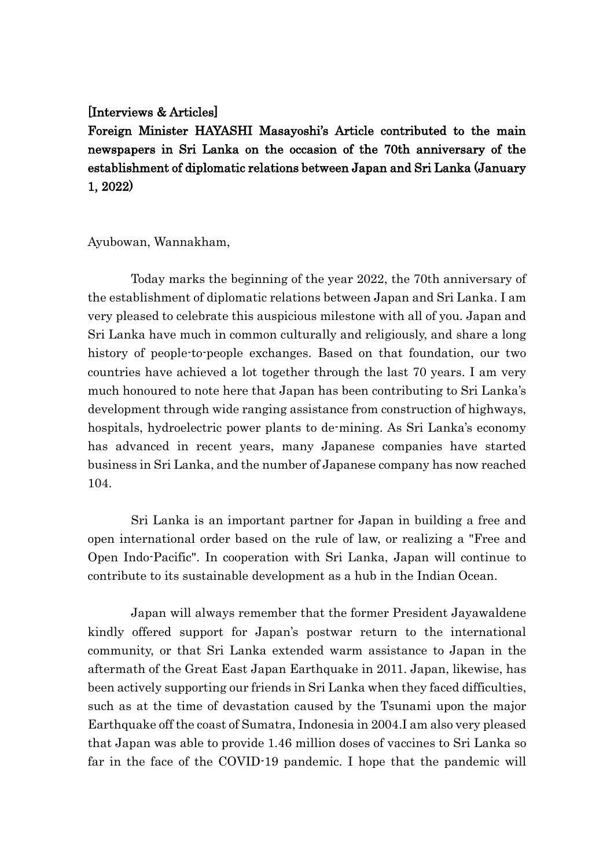## [Interviews & Articles]

Foreign Minister HAYASHI Masayoshi's Article contributed to the main newspapers in Sri Lanka on the occasion of the 70th anniversary of the establishment of diplomatic relations between Japan and Sri Lanka (January 1, 2022)

## Ayubowan, Wannakham,

Today marks the beginning of the year 2022, the 70th anniversary of the establishment of diplomatic relations between Japan and Sri Lanka. I am very pleased to celebrate this auspicious milestone with all of you. Japan and Sri Lanka have much in common culturally and religiously, and share a long history of people-to-people exchanges. Based on that foundation, our two countries have achieved a lot together through the last 70 years. I am very much honoured to note here that Japan has been contributing to Sri Lanka's development through wide ranging assistance from construction of highways, hospitals, hydroelectric power plants to de-mining. As Sri Lanka's economy has advanced in recent years, many Japanese companies have started business in Sri Lanka, and the number of Japanese company has now reached 104.

Sri Lanka is an important partner for Japan in building a free and open international order based on the rule of law, or realizing a "Free and Open Indo-Pacific". In cooperation with Sri Lanka, Japan will continue to contribute to its sustainable development as a hub in the Indian Ocean.

Japan will always remember that the former President Jayawaldene kindly offered support for Japan's postwar return to the international community, or that Sri Lanka extended warm assistance to Japan in the aftermath of the Great East Japan Earthquake in 2011. Japan, likewise, has been actively supporting our friends in Sri Lanka when they faced difficulties, such as at the time of devastation caused by the Tsunami upon the major Earthquake off the coast of Sumatra, Indonesia in 2004.I am also very pleased that Japan was able to provide 1.46 million doses of vaccines to Sri Lanka so far in the face of the COVID-19 pandemic. I hope that the pandemic will